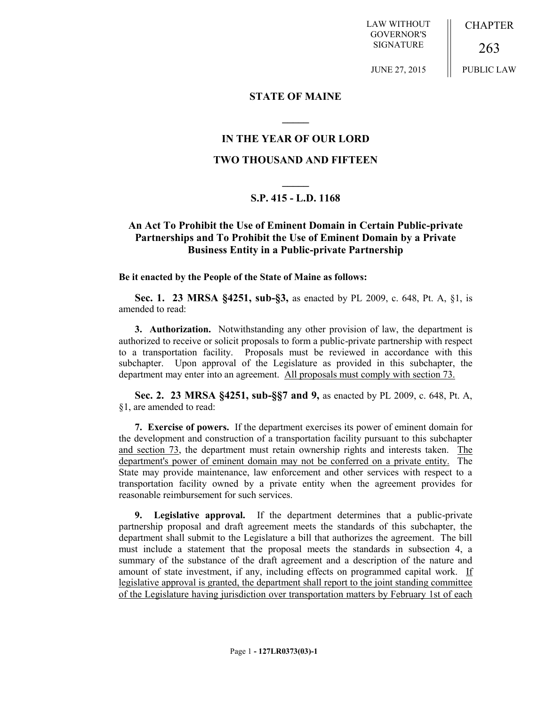LAW WITHOUT GOVERNOR'S SIGNATURE

CHAPTER

263 PUBLIC LAW

JUNE 27, 2015

### **STATE OF MAINE**

## **IN THE YEAR OF OUR LORD**

**\_\_\_\_\_**

### **TWO THOUSAND AND FIFTEEN**

# **\_\_\_\_\_ S.P. 415 - L.D. 1168**

## **An Act To Prohibit the Use of Eminent Domain in Certain Public-private Partnerships and To Prohibit the Use of Eminent Domain by a Private Business Entity in a Public-private Partnership**

#### **Be it enacted by the People of the State of Maine as follows:**

**Sec. 1. 23 MRSA §4251, sub-§3,** as enacted by PL 2009, c. 648, Pt. A, §1, is amended to read:

**3. Authorization.** Notwithstanding any other provision of law, the department is authorized to receive or solicit proposals to form a public-private partnership with respect to a transportation facility. Proposals must be reviewed in accordance with this subchapter. Upon approval of the Legislature as provided in this subchapter, the department may enter into an agreement. All proposals must comply with section 73.

**Sec. 2. 23 MRSA §4251, sub-§§7 and 9,** as enacted by PL 2009, c. 648, Pt. A, §1, are amended to read:

**7. Exercise of powers.** If the department exercises its power of eminent domain for the development and construction of a transportation facility pursuant to this subchapter and section 73, the department must retain ownership rights and interests taken. The department's power of eminent domain may not be conferred on a private entity. The State may provide maintenance, law enforcement and other services with respect to a transportation facility owned by a private entity when the agreement provides for reasonable reimbursement for such services.

**9. Legislative approval.** If the department determines that a public-private partnership proposal and draft agreement meets the standards of this subchapter, the department shall submit to the Legislature a bill that authorizes the agreement. The bill must include a statement that the proposal meets the standards in subsection 4, a summary of the substance of the draft agreement and a description of the nature and amount of state investment, if any, including effects on programmed capital work. If legislative approval is granted, the department shall report to the joint standing committee of the Legislature having jurisdiction over transportation matters by February 1st of each